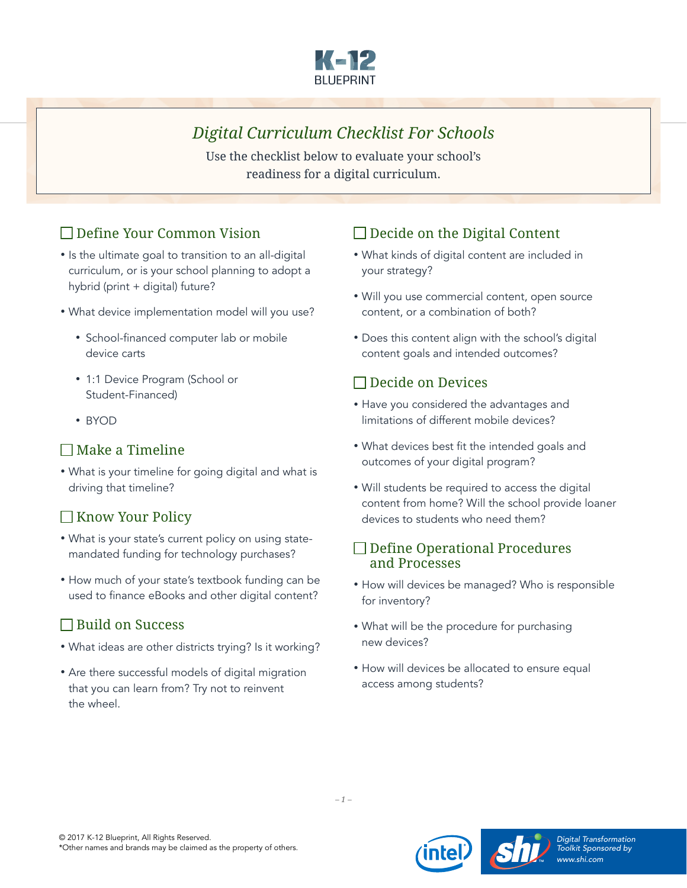

# *Digital Curriculum Checklist For Schools*

Use the checklist below to evaluate your school's readiness for a digital curriculum.

## Define Your Common Vision

- Is the ultimate goal to transition to an all-digital curriculum, or is your school planning to adopt a hybrid (print + digital) future?
- What device implementation model will you use?
	- School-financed computer lab or mobile device carts
	- 1:1 Device Program (School or Student-Financed)
	- BYOD

### $\Box$  Make a Timeline

• What is your timeline for going digital and what is driving that timeline?

### $\Box$  Know Your Policy

- What is your state's current policy on using statemandated funding for technology purchases?
- How much of your state's textbook funding can be used to finance eBooks and other digital content?

## $\Box$  Build on Success

- What ideas are other districts trying? Is it working?
- Are there successful models of digital migration that you can learn from? Try not to reinvent the wheel.

### $\Box$  Decide on the Digital Content

- What kinds of digital content are included in your strategy?
- Will you use commercial content, open source content, or a combination of both?
- Does this content align with the school's digital content goals and intended outcomes?

### Decide on Devices

- Have you considered the advantages and limitations of different mobile devices?
- What devices best fit the intended goals and outcomes of your digital program?
- Will students be required to access the digital content from home? Will the school provide loaner devices to students who need them?

#### □ Define Operational Procedures and Processes

- How will devices be managed? Who is responsible for inventory?
- What will be the procedure for purchasing new devices?
- How will devices be allocated to ensure equal access among students?